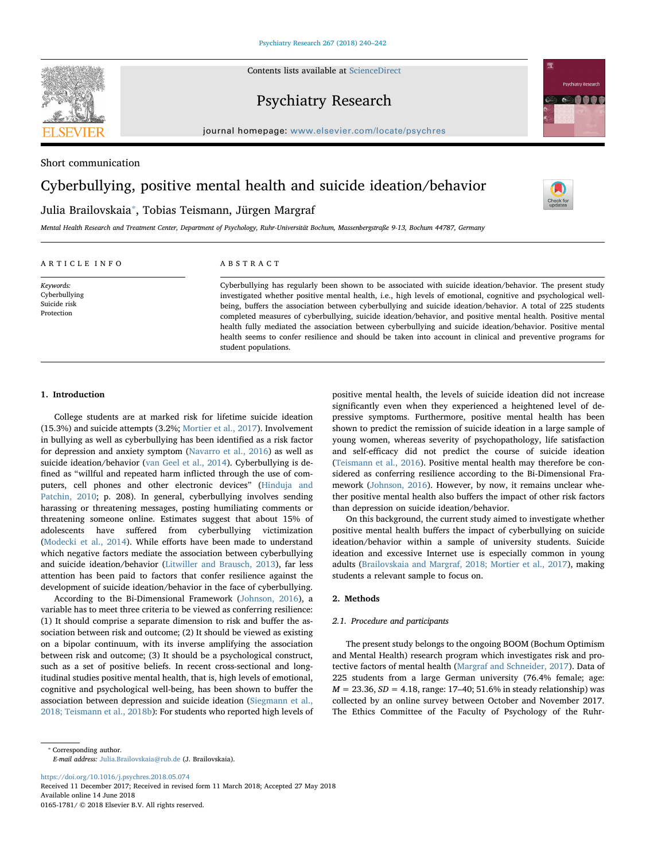Contents lists available at [ScienceDirect](http://www.sciencedirect.com/science/journal/01651781)



Psychiatry Research



journal homepage: [www.elsevier.com/locate/psychres](https://www.elsevier.com/locate/psychres)

Short communication

# Cyberbullying, positive mental health and suicide ideation/behavior

## Julia Brailovskaia[⁎](#page-0-0) , Tobias Teismann, Jürgen Margraf

[T](http://crossmark.crossref.org/dialog/?doi=10.1016/j.psychres.2018.05.074&domain=pdf)

Mental Health Research and Treatment Center, Department of Psychology, Ruhr-Universität Bochum, Massenbergstraße 9-13, Bochum 44787, Germany

## ARTICLE INFO

Keywords: Cyberbullying Suicide risk Protection

## ABSTRACT

Cyberbullying has regularly been shown to be associated with suicide ideation/behavior. The present study investigated whether positive mental health, i.e., high levels of emotional, cognitive and psychological wellbeing, buffers the association between cyberbullying and suicide ideation/behavior. A total of 225 students completed measures of cyberbullying, suicide ideation/behavior, and positive mental health. Positive mental health fully mediated the association between cyberbullying and suicide ideation/behavior. Positive mental health seems to confer resilience and should be taken into account in clinical and preventive programs for student populations.

## 1. Introduction

College students are at marked risk for lifetime suicide ideation (15.3%) and suicide attempts (3.2%; [Mortier et al., 2017](#page-2-0)). Involvement in bullying as well as cyberbullying has been identified as a risk factor for depression and anxiety symptom [\(Navarro et al., 2016](#page-2-1)) as well as suicide ideation/behavior [\(van Geel et al., 2014](#page-2-2)). Cyberbullying is defined as "willful and repeated harm inflicted through the use of computers, cell phones and other electronic devices" [\(Hinduja and](#page-2-3) [Patchin, 2010;](#page-2-3) p. 208). In general, cyberbullying involves sending harassing or threatening messages, posting humiliating comments or threatening someone online. Estimates suggest that about 15% of adolescents have suffered from cyberbullying victimization ([Modecki et al., 2014\)](#page-2-4). While efforts have been made to understand which negative factors mediate the association between cyberbullying and suicide ideation/behavior ([Litwiller and Brausch, 2013](#page-2-5)), far less attention has been paid to factors that confer resilience against the development of suicide ideation/behavior in the face of cyberbullying.

According to the Bi-Dimensional Framework ([Johnson, 2016](#page-2-6)), a variable has to meet three criteria to be viewed as conferring resilience: (1) It should comprise a separate dimension to risk and buffer the association between risk and outcome; (2) It should be viewed as existing on a bipolar continuum, with its inverse amplifying the association between risk and outcome; (3) It should be a psychological construct, such as a set of positive beliefs. In recent cross-sectional and longitudinal studies positive mental health, that is, high levels of emotional, cognitive and psychological well-being, has been shown to buffer the association between depression and suicide ideation ([Siegmann et al.,](#page-2-7) [2018; Teismann et al., 2018b](#page-2-7)): For students who reported high levels of positive mental health, the levels of suicide ideation did not increase significantly even when they experienced a heightened level of depressive symptoms. Furthermore, positive mental health has been shown to predict the remission of suicide ideation in a large sample of young women, whereas severity of psychopathology, life satisfaction and self-efficacy did not predict the course of suicide ideation ([Teismann et al., 2016\)](#page-2-8). Positive mental health may therefore be considered as conferring resilience according to the Bi-Dimensional Framework [\(Johnson, 2016](#page-2-6)). However, by now, it remains unclear whether positive mental health also buffers the impact of other risk factors than depression on suicide ideation/behavior.

On this background, the current study aimed to investigate whether positive mental health buffers the impact of cyberbullying on suicide ideation/behavior within a sample of university students. Suicide ideation and excessive Internet use is especially common in young adults ([Brailovskaia and Margraf, 2018; Mortier et al., 2017](#page-2-9)), making students a relevant sample to focus on.

## 2. Methods

## 2.1. Procedure and participants

The present study belongs to the ongoing BOOM (Bochum Optimism and Mental Health) research program which investigates risk and protective factors of mental health ([Margraf and Schneider, 2017\)](#page-2-10). Data of 225 students from a large German university (76.4% female; age:  $M = 23.36, SD = 4.18$ , range: 17-40; 51.6% in steady relationship) was collected by an online survey between October and November 2017. The Ethics Committee of the Faculty of Psychology of the Ruhr-

E-mail address: [Julia.Brailovskaia@rub.de](mailto:Julia.Brailovskaia@rub.de) (J. Brailovskaia).

<https://doi.org/10.1016/j.psychres.2018.05.074>

Received 11 December 2017; Received in revised form 11 March 2018; Accepted 27 May 2018 Available online 14 June 2018 0165-1781/ © 2018 Elsevier B.V. All rights reserved.

<span id="page-0-0"></span><sup>⁎</sup> Corresponding author.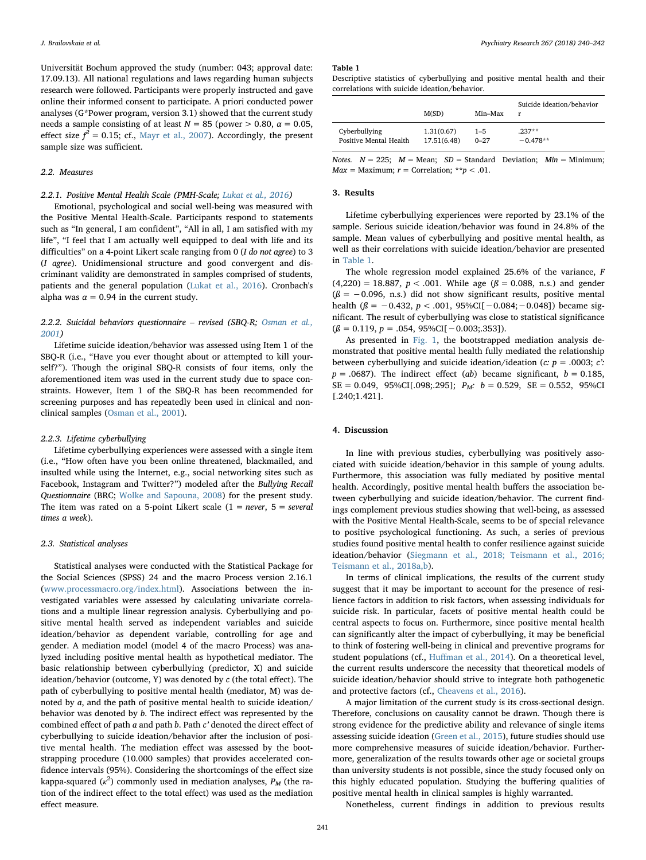Universität Bochum approved the study (number: 043; approval date: 17.09.13). All national regulations and laws regarding human subjects research were followed. Participants were properly instructed and gave online their informed consent to participate. A priori conducted power analyses (G\*Power program, version 3.1) showed that the current study needs a sample consisting of at least  $N = 85$  (power  $> 0.80$ ,  $\alpha = 0.05$ , effect size  $f^2 = 0.15$ ; cf., [Mayr et al., 2007](#page-2-11)). Accordingly, the present sample size was sufficient.

## 2.2. Measures

## 2.2.1. Positive Mental Health Scale (PMH-Scale; [Lukat et al., 2016\)](#page-2-12)

Emotional, psychological and social well-being was measured with the Positive Mental Health-Scale. Participants respond to statements such as "In general, I am confident", "All in all, I am satisfied with my life", "I feel that I am actually well equipped to deal with life and its difficulties" on a 4-point Likert scale ranging from 0 (I do not agree) to 3 (I agree). Unidimensional structure and good convergent and discriminant validity are demonstrated in samples comprised of students, patients and the general population [\(Lukat et al., 2016\)](#page-2-12). Cronbach's alpha was  $\alpha = 0.94$  in the current study.

2.2.2. Suicidal behaviors questionnaire – revised (SBQ-R; [Osman et al.,](#page-2-13) [2001](#page-2-13))

Lifetime suicide ideation/behavior was assessed using Item 1 of the SBQ-R (i.e., "Have you ever thought about or attempted to kill yourself?"). Though the original SBQ-R consists of four items, only the aforementioned item was used in the current study due to space constraints. However, Item 1 of the SBQ-R has been recommended for screening purposes and has repeatedly been used in clinical and nonclinical samples [\(Osman et al., 2001](#page-2-13)).

#### 2.2.3. Lifetime cyberbullying

Lifetime cyberbullying experiences were assessed with a single item (i.e., "How often have you been online threatened, blackmailed, and insulted while using the Internet, e.g., social networking sites such as Facebook, Instagram and Twitter?") modeled after the Bullying Recall Questionnaire (BRC; [Wolke and Sapouna, 2008\)](#page-2-14) for the present study. The item was rated on a 5-point Likert scale  $(1 = never, 5 = several$ times a week).

#### 2.3. Statistical analyses

Statistical analyses were conducted with the Statistical Package for the Social Sciences (SPSS) 24 and the macro Process version 2.16.1 ([www.processmacro.org/index.html](http://www.processmacro.org/index.html)). Associations between the investigated variables were assessed by calculating univariate correlations and a multiple linear regression analysis. Cyberbullying and positive mental health served as independent variables and suicide ideation/behavior as dependent variable, controlling for age and gender. A mediation model (model 4 of the macro Process) was analyzed including positive mental health as hypothetical mediator. The basic relationship between cyberbullying (predictor, X) and suicide ideation/behavior (outcome, Y) was denoted by  $c$  (the total effect). The path of cyberbullying to positive mental health (mediator, M) was denoted by a, and the path of positive mental health to suicide ideation/ behavior was denoted by b. The indirect effect was represented by the combined effect of path a and path b. Path c' denoted the direct effect of cyberbullying to suicide ideation/behavior after the inclusion of positive mental health. The mediation effect was assessed by the bootstrapping procedure (10.000 samples) that provides accelerated confidence intervals (95%). Considering the shortcomings of the effect size kappa-squared ( $\kappa^2$ ) commonly used in mediation analyses,  $P_M$  (the ration of the indirect effect to the total effect) was used as the mediation effect measure.

#### <span id="page-1-0"></span>Table 1

Descriptive statistics of cyberbullying and positive mental health and their correlations with suicide ideation/behavior.

|                        | M(SD)       | Min-Max  | Suicide ideation/behavior<br>r |
|------------------------|-------------|----------|--------------------------------|
| Cyberbullying          | 1.31(0.67)  | $1 - 5$  | $.237**$                       |
| Positive Mental Health | 17.51(6.48) | $0 - 27$ | $-0.478**$                     |

Notes.  $N = 225$ ;  $M = Mean$ ;  $SD = Standard Deviation$ ;  $Min = Minimum$ ;  $Max = Maximum; r = Correlation; **p < .01.$ 

## 3. Results

Lifetime cyberbullying experiences were reported by 23.1% of the sample. Serious suicide ideation/behavior was found in 24.8% of the sample. Mean values of cyberbullying and positive mental health, as well as their correlations with suicide ideation/behavior are presented in [Table 1.](#page-1-0)

The whole regression model explained 25.6% of the variance, F  $(4,220) = 18.887, p < .001$ . While age  $(\beta = 0.088, n.s.)$  and gender  $(\beta = -0.096, n.s.)$  did not show significant results, positive mental health ( $\beta$  = −0.432, p < .001, 95%CI[−0.084; −0.048]) became significant. The result of cyberbullying was close to statistical significance  $(\beta = 0.119, p = .054, 95\%CI[-0.003; .353]).$ 

As presented in [Fig. 1,](#page-2-15) the bootstrapped mediation analysis demonstrated that positive mental health fully mediated the relationship between cyberbullying and suicide ideation/ideation ( $c$ :  $p = .0003$ ;  $c$ :  $p = .0687$ ). The indirect effect (ab) became significant,  $b = 0.185$ ,  $SE = 0.049$ , 95%CI[.098;.295];  $P_M$ :  $b = 0.529$ ,  $SE = 0.552$ , 95%CI [.240;1.421].

#### 4. Discussion

In line with previous studies, cyberbullying was positively associated with suicide ideation/behavior in this sample of young adults. Furthermore, this association was fully mediated by positive mental health. Accordingly, positive mental health buffers the association between cyberbullying and suicide ideation/behavior. The current findings complement previous studies showing that well-being, as assessed with the Positive Mental Health-Scale, seems to be of special relevance to positive psychological functioning. As such, a series of previous studies found positive mental health to confer resilience against suicide ideation/behavior [\(Siegmann et al., 2018; Teismann et al., 2016;](#page-2-7) [Teismann et al., 2018a,b\)](#page-2-7).

In terms of clinical implications, the results of the current study suggest that it may be important to account for the presence of resilience factors in addition to risk factors, when assessing individuals for suicide risk. In particular, facets of positive mental health could be central aspects to focus on. Furthermore, since positive mental health can significantly alter the impact of cyberbullying, it may be beneficial to think of fostering well-being in clinical and preventive programs for student populations (cf., Huff[man et al., 2014](#page-2-16)). On a theoretical level, the current results underscore the necessity that theoretical models of suicide ideation/behavior should strive to integrate both pathogenetic and protective factors (cf., [Cheavens et al., 2016](#page-2-17)).

A major limitation of the current study is its cross-sectional design. Therefore, conclusions on causality cannot be drawn. Though there is strong evidence for the predictive ability and relevance of single items assessing suicide ideation ([Green et al., 2015](#page-2-18)), future studies should use more comprehensive measures of suicide ideation/behavior. Furthermore, generalization of the results towards other age or societal groups than university students is not possible, since the study focused only on this highly educated population. Studying the buffering qualities of positive mental health in clinical samples is highly warranted.

Nonetheless, current findings in addition to previous results